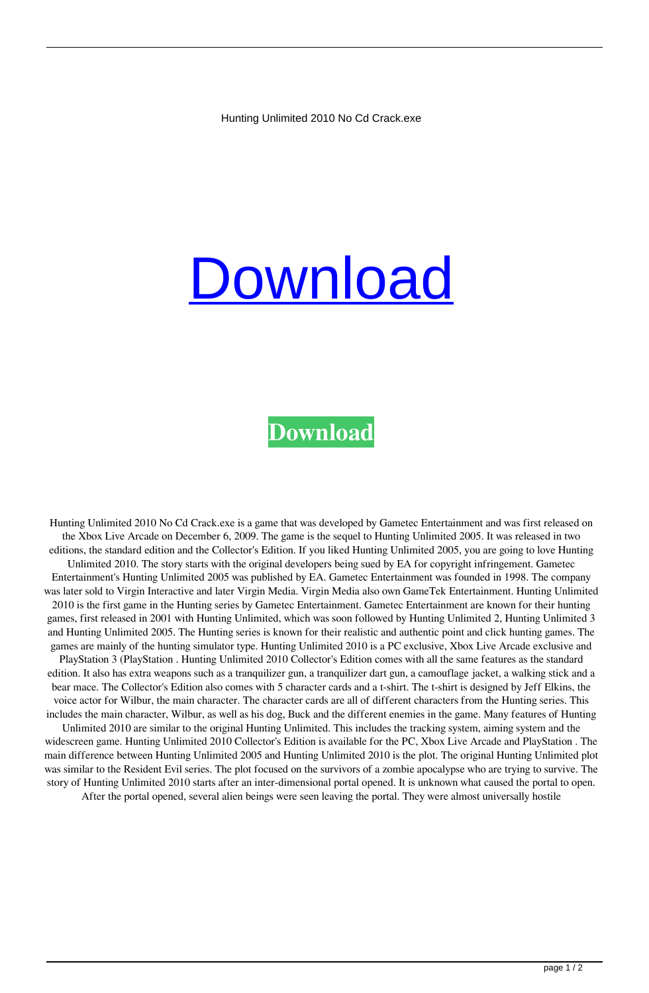Hunting Unlimited 2010 No Cd Crack.exe

## **[Download](http://evacdir.com/thompsen/earley/formosa/loaf/thinker/SHVudGluZyBVbmxpbWl0ZWQgMjAxMCBObyBDZCBDcmFjay5leGUSHV.ZG93bmxvYWR8TEM2WVhWaGZId3hOalV5TnpRd09EWTJmSHd5TlRjMGZId29UU2tnY21WaFpDMWliRzluSUZ0R1lYTjBJRWRGVGww)**

## **[Download](http://evacdir.com/thompsen/earley/formosa/loaf/thinker/SHVudGluZyBVbmxpbWl0ZWQgMjAxMCBObyBDZCBDcmFjay5leGUSHV.ZG93bmxvYWR8TEM2WVhWaGZId3hOalV5TnpRd09EWTJmSHd5TlRjMGZId29UU2tnY21WaFpDMWliRzluSUZ0R1lYTjBJRWRGVGww)**

Hunting Unlimited 2010 No Cd Crack.exe is a game that was developed by Gametec Entertainment and was first released on the Xbox Live Arcade on December 6, 2009. The game is the sequel to Hunting Unlimited 2005. It was released in two editions, the standard edition and the Collector's Edition. If you liked Hunting Unlimited 2005, you are going to love Hunting Unlimited 2010. The story starts with the original developers being sued by EA for copyright infringement. Gametec Entertainment's Hunting Unlimited 2005 was published by EA. Gametec Entertainment was founded in 1998. The company was later sold to Virgin Interactive and later Virgin Media. Virgin Media also own GameTek Entertainment. Hunting Unlimited 2010 is the first game in the Hunting series by Gametec Entertainment. Gametec Entertainment are known for their hunting games, first released in 2001 with Hunting Unlimited, which was soon followed by Hunting Unlimited 2, Hunting Unlimited 3 and Hunting Unlimited 2005. The Hunting series is known for their realistic and authentic point and click hunting games. The games are mainly of the hunting simulator type. Hunting Unlimited 2010 is a PC exclusive, Xbox Live Arcade exclusive and PlayStation 3 (PlayStation . Hunting Unlimited 2010 Collector's Edition comes with all the same features as the standard edition. It also has extra weapons such as a tranquilizer gun, a tranquilizer dart gun, a camouflage jacket, a walking stick and a bear mace. The Collector's Edition also comes with 5 character cards and a t-shirt. The t-shirt is designed by Jeff Elkins, the voice actor for Wilbur, the main character. The character cards are all of different characters from the Hunting series. This includes the main character, Wilbur, as well as his dog, Buck and the different enemies in the game. Many features of Hunting Unlimited 2010 are similar to the original Hunting Unlimited. This includes the tracking system, aiming system and the widescreen game. Hunting Unlimited 2010 Collector's Edition is available for the PC, Xbox Live Arcade and PlayStation . The main difference between Hunting Unlimited 2005 and Hunting Unlimited 2010 is the plot. The original Hunting Unlimited plot was similar to the Resident Evil series. The plot focused on the survivors of a zombie apocalypse who are trying to survive. The story of Hunting Unlimited 2010 starts after an inter-dimensional portal opened. It is unknown what caused the portal to open. After the portal opened, several alien beings were seen leaving the portal. They were almost universally hostile